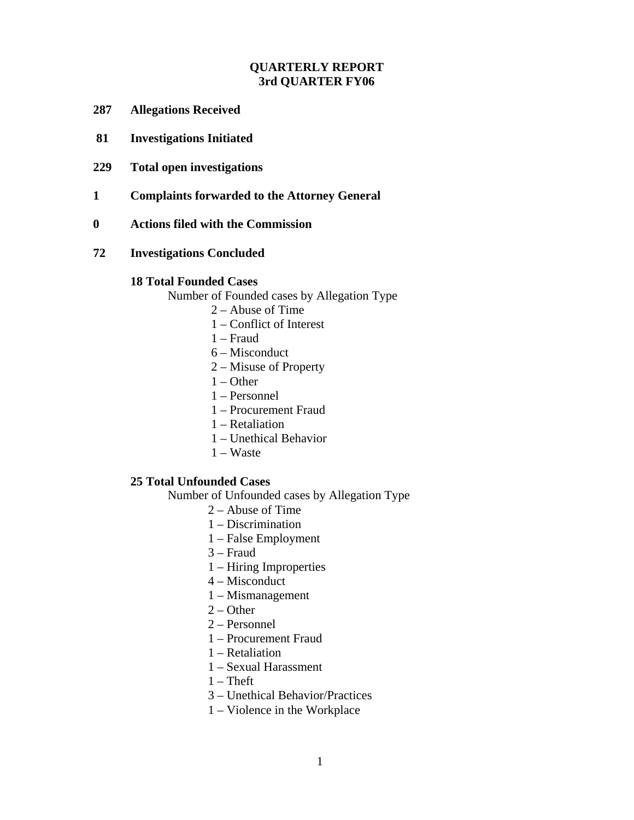# **QUARTERLY REPORT 3rd QUARTER FY06**

- **287 Allegations Received**
- **81 Investigations Initiated**
- **229 Total open investigations**
- **1 Complaints forwarded to the Attorney General**
- **0 Actions filed with the Commission**
- **72 Investigations Concluded**

#### **18 Total Founded Cases**

Number of Founded cases by Allegation Type

- 2 Abuse of Time
- 1 Conflict of Interest
- 1 Fraud
- 6 Misconduct
- 2 Misuse of Property
- 1 Other
- 1 Personnel
- 1 Procurement Fraud
- 1 Retaliation
- 1 Unethical Behavior
- 1 Waste

### **25 Total Unfounded Cases**

Number of Unfounded cases by Allegation Type

- 2 Abuse of Time
- 1 Discrimination
- 1 False Employment
- 3 Fraud
- 1 Hiring Improperties
- 4 Misconduct
- 1 Mismanagement
- $2 Other$
- 2 Personnel
- 1 Procurement Fraud
- 1 Retaliation
- 1 Sexual Harassment
- $1$  Theft
- 3 Unethical Behavior/Practices
- 1 Violence in the Workplace